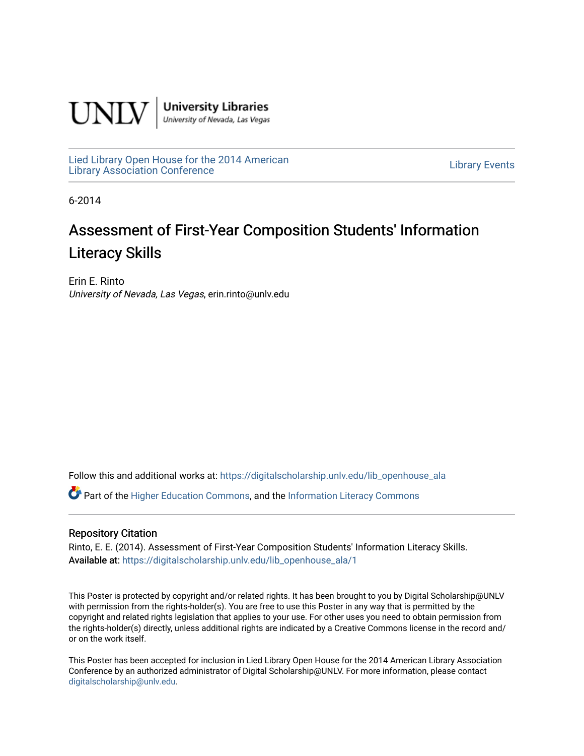

**University Libraries**<br>University of Nevada, Las Vegas

[Lied Library Open House for the 2014 American](https://digitalscholarship.unlv.edu/lib_openhouse_ala) Library Open House for the 2014 American<br>Library Association Conference

6-2014

### Assessment of First-Year Composition Students' Information Literacy Skills

Erin E. Rinto University of Nevada, Las Vegas, erin.rinto@unlv.edu

Follow this and additional works at: [https://digitalscholarship.unlv.edu/lib\\_openhouse\\_ala](https://digitalscholarship.unlv.edu/lib_openhouse_ala?utm_source=digitalscholarship.unlv.edu%2Flib_openhouse_ala%2F1&utm_medium=PDF&utm_campaign=PDFCoverPages) 

Part of the [Higher Education Commons,](http://network.bepress.com/hgg/discipline/1245?utm_source=digitalscholarship.unlv.edu%2Flib_openhouse_ala%2F1&utm_medium=PDF&utm_campaign=PDFCoverPages) and the [Information Literacy Commons](http://network.bepress.com/hgg/discipline/1243?utm_source=digitalscholarship.unlv.edu%2Flib_openhouse_ala%2F1&utm_medium=PDF&utm_campaign=PDFCoverPages) 

### Repository Citation

Rinto, E. E. (2014). Assessment of First-Year Composition Students' Information Literacy Skills. Available at: [https://digitalscholarship.unlv.edu/lib\\_openhouse\\_ala/1](https://digitalscholarship.unlv.edu/lib_openhouse_ala/1) 

This Poster is protected by copyright and/or related rights. It has been brought to you by Digital Scholarship@UNLV with permission from the rights-holder(s). You are free to use this Poster in any way that is permitted by the copyright and related rights legislation that applies to your use. For other uses you need to obtain permission from the rights-holder(s) directly, unless additional rights are indicated by a Creative Commons license in the record and/ or on the work itself.

This Poster has been accepted for inclusion in Lied Library Open House for the 2014 American Library Association Conference by an authorized administrator of Digital Scholarship@UNLV. For more information, please contact [digitalscholarship@unlv.edu](mailto:digitalscholarship@unlv.edu).